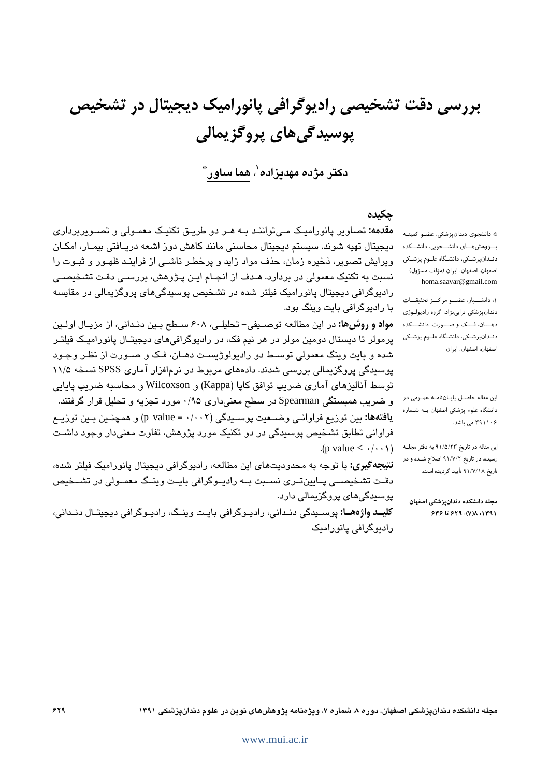بررسی دقت تشخیصی رادیوگرافی پانورامیک دیجیتال در تشخیص پوسیدگی های پروگزیمالی

دکتر مژده مهدیزاده'، هما ساور ٌ

# جكيده

**مقدمه:** تصاویر پانورامیک مـی تواننـد بــه هـر دو طریــق تکنیـک معمـولی و تصــویربرداری دیجیتال تهیه شوند. سیستم دیجیتال محاسنی مانند کاهش دوز اشعه دریـافتی بیمـار، امکـان ویرایش تصویر، ذخیره زمان، حذف مواد زاید و پرخطـر ناشـی از فراینـد ظهـور و ثبـوت را نسبت به تکنیک معمولی در بردارد. هـدف از انجـام ایـن پـژوهش، بررسـی دقـت تشـخیصـی رادیوگرافی دیجیتال پانورامیک فیلتر شده در تشخیص پوسیدگیهای پروگزیمالی در مقایسه با رادیوگرافی بایت وینگ بود.

مواد و روش ها: در این مطالعه توصیفی- تحلیلی، ۶۰۸ سطح بین دندانی، از مزیـال اولـین پرمولر تا دیستال دومین مولر در هر نیم فک، در رادیوگرافی های دیجیتـال پانورامیـک فیلتـر شده و بایت وینگ معمولی توســط دو رادیولوژیسـت دهــان، فـک و صــورت از نظـر وجـود پوسیدگی پروگزیمالی بررسی شدند. دادههای مربوط در نرمافزار آماری SPSS نسخه ۱۱/۵ توسط آناليزهاى آمارى ضريب توافق كاپا (Kappa) و Wilcoxson و محاسبه ضريب پايايى و ضریب همبستگی Spearman در سطح معنیداری ۰/۹۵ مورد تجزیه و تحلیل قرار گرفتند. **يافتهها:** بين توزيع فراوانـي وضــعيت پوســيدگي (p value = ·/۰۰۲) و همچنـين بـين توزيــع فراوانی تطابق تشخیص پوسیدگی در دو تکنیک مورد پژوهش، تفاوت معنیدار وجود داشت  $(p \text{ value} < \cdot/\cdot \cdot)$ 

**نتیجه گیری:** با توجه به محدودیتهای این مطالعه، رادیوگرافی دیجیتال پانورامیک فیلتر شده، دقـت تشخیصــی پــایینتــری نســبت بــه رادیــوگرافی بایــت وینــگ معمــولی در تشــخیص پوسیدگی های پروگزیمالی دارد.

\* دانشجوی دندانپزشکی، عضـو کمیتـه پـــرْوهشهــــای دانشـــجویی، دانشـــکده دندانپزشكى، دانشگاه علوم پزشكى اصفهان، اصفهان، ایران (مؤلف مسؤول) homa.saavar@gmail.com

١: دانشــيار، عضــو مركــز تحقيقــات دندانپزشکی ترابینژاد، گروه رادیولوژی دهسان، فسک و صسورت، دانشسکده دنـدانپزشـکی، دانشـگاه علـوم پزشـکی اصفهان، اصفهان، ایران

این مقاله حاصـل پایـاننامـه عمـومی در دانشگاه علوم پزشکی اصفهان بـه شـماره ۲۹۱۱۰۶ می باشد.

این مقاله در تاریخ ۹۱/۵/۲۳ به دفتر مجلـه رسیده، در تاریخ ۹۱/۷/۲ اصلاح شـده و در تاریخ ۹۱/۷/۱۸ تأیید گردیده است.

مجله دانشكده دندانيزشكي اصفهان ٢٣٩١، ١٣٨١، ٢٣٩ تا ٢٣۶

**کلیــد واژههــا:** پوســیدگی دنــدانی، رادیــوگرافی بایـت وینــگ، رادیــوگرافی دیجیتـال دنــدانی، رادیوگرافی یانوراملک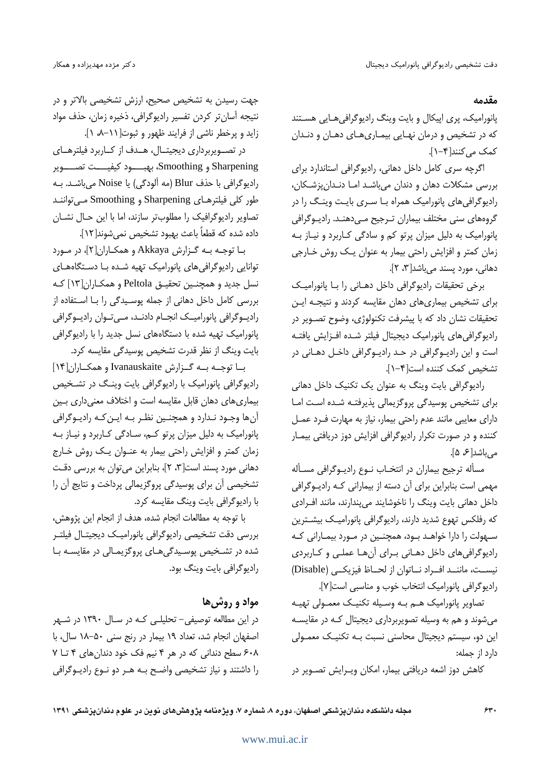مقدمه

یانورامیک، پری اییکال و بایت وینگ رادیوگرافی هـایی هسـتند که در تشخیص و درمان نهـایی بیمـاریهـای دهـان و دنـدان کمک می کنند[۴-۱].

اگرچه سری کامل داخل دهانی، رادیوگرافی استاندارد برای بررسی مشکلات دهان و دندان میباشد امـا دنـدان پزشـکان، رادیوگرافی های پانورامیک همراه بـا سـری بایـت وینـگ را در گروههای سنی مختلف بیماران تـرجیح مـیcهنـد. رادیـوگرافی پانورامیک به دلیل میزان پرتو کم و سادگی کاربرد و نیاز بـه زمان كمتر و افزايش راحتى بيمار به عنوان يـك روش خـارجى دهانی، مورد پسند می باشد[۳، ۲].

برخی تحقیقات رادیوگرافی داخل دهـانی را بـا پانورامیـک برای تشخیص بیماری های دهان مقایسه کردند و نتیجـه ایـن تحقیقات نشان داد که با پیشرفت تکنولوژی، وضوح تصـویر در راديوكرافى هاى پانوراميك ديجيتال فيلتر شده افزايش يافتـه است و این رادیـوگرافی در حـد رادیـوگرافی داخـل دهـانی در تشخيص كمك كننده است[۴-١].

رادیوگرافی بایت وینگ به عنوان یک تکنیک داخل دهانی برای تشخیص پوسیدگی پروگزیمالی پذیرفتـه شـده اسـت امـا دارای معایبی مانند عدم راحتی بیمار، نیاز به مهارت ف رد عمـل کننده و در صورت تکرار رادیوگرافی افزایش دوز دریافتی بیمـار می باشد[ع ۵].

مسأله ترجيح بيماران در انتخـاب نـوع راديـوگرافي مسـأله مهمی است بنابراین برای آن دسته از بیمارانی کـه رادیـوگرافی داخل دهانی بایت وینگ را ناخوشایند میپندارند، مانند افرادی که رفلکس تهوع شدید دارند، رادیوگرافی پانورامیـک بیشــترین ســهولت را دارا خواهــد بــود، همچنــین در مــورد بیمــارانی کــه رادیوگرافیهای داخل دهانی برای آنها عملی و کاربردی نيست، ماننــد افــراد نــاتوان از لحــاظ فيزيكــي (Disable) راديوكرافي پانوراميك انتخاب خوب و مناسبي است[٧].

تصاویر پانورامیک هـم بـه وسـیله تکنیـک معمـولی تهیـه می شوند و هم به وسیله تصویربرداری دیجیتال کـه در مقایسـه این دو، سیستم دیجیتال محاسنی نسبت بـه تکنیـک معمـولی دارد از جمله:

كاهش دوز اشعه دريافتى بيمار، امكان ويـرايش تصـوير در

جهت رسیدن به تشخیص صحیح، ارزش تشخیصی بالاتر و در نتيجه آسانتر كردن تفسير راديوگرافي، ذخيره زمان، حذف مواد زاید و پرخطر ناشی از فرایند ظهور و ثبوت[ ٠١١ه ١].

در تصویربرداری دیجیتـال، هـدف از کــاربرد فیلترهـای Sharpening و Smoothing، بهبـــــود كيفيــــت تصـــــوير رادیوگرافی با حذف Blur (مه آلودگی) یا Noise میباشد. بـه طور کلی فیلترهـای Sharpening و Smoothing مــ تواننـد تصاویر رادیوگرافیک را مطلوبتر سازند، اما با این حـال نشــان داده شده كه قطعاً باعث بهبود تشخيص نمىشوند[١٢].

با توجه به گزارش Akkaya و همكاران[۲]، در مورد توانایی رادیوگرافی های پانورامیک تهیه شـده بـا دسـتگاههـای نسل جدید و همچنین تحقیـق Peltola و همکـاران[۱۳] کـه بررسی کامل داخل دهانی از جمله پوسیدگی را بـا اسـتفاده از رادیںوگرافی پانورامیک انجےام دادنے، مےتوان رادیںوگرافی پانورامیک تهیه شده با دستگاههای نسل جدید را با رادیوگرافی بايت وينگ از نظر قدرت تشخيص پوسيدگي مقايسه كرد.

با توجـه بـه گـزارش Ivanauskaite و همكـاران[۱۴] رادیوگرافی پانورامیک با رادیوگرافی بایت وینگ در تشخیص بیماری های دهان قابل مقایسه است و اختلاف معنی داری بـین آنها وجـود نـدارد و همچنـین نظـر بـه ایـن کـه رادیـوگرافی پانورامیک به دلیل میزان پرتو کـم، سـادگی کـاربرد و نیـاز بـه زمان كمتر و افزايش راحتى بيمار به عنـوان يـك روش خـارج دهانی مورد پسند است[۳، ۲]، بنابراین میتوان به بررسی دقت تشخیصی آن برای پوسیدگی پروگزیمالی پرداخت و نتایج آن را با رادیوگرافی بایت وینگ مقایسه کرد.

با توجه به مطالعات انجام شده، هدف از انجام اين پژوهش، بررسی دقت تشخیصی رادیوگرافی پانورامیک دیجیتـال فیلتـر شده در تشخیص پوسیدگیهای پروگزیمالی در مقایسه با رادیوگرافی بایت وینگ بود.

## مواد و روش ها

در این مطالعه توصیفی- تحلیلـی کـه در سـال ۱۳۹۰ در شـهر اصفهان انجام شد، تعداد ١٩ بيمار در رنج سنى ٥٠-١٨ سال، با ۶۰۸ سطح دندانی که در هر ۴ نیم فک خود دندان های ۴ تا ۷ را داشتند و نیاز تشخیصی واضح بـه هـر دو نـوع رادیـوگرافی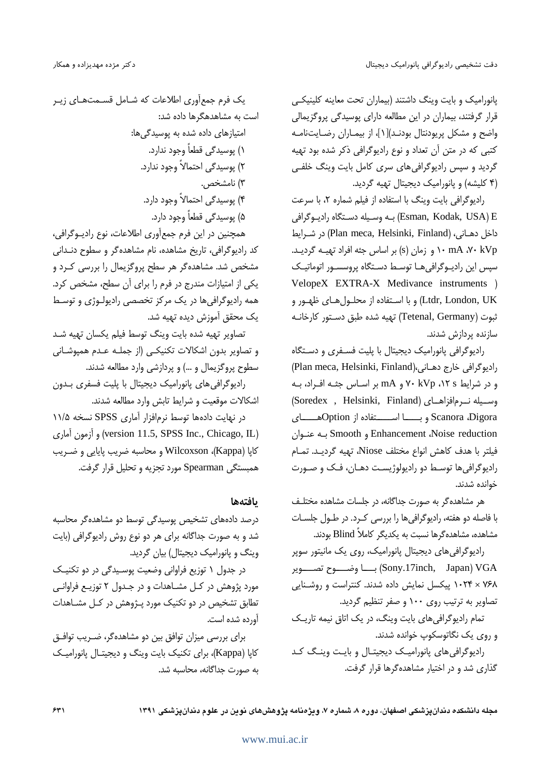یانورامیک و بایت وینگ داشتند (بیماران تحت معاینه کلینیکبی قرار گرفتند، بیماران در این مطالعه دارای پوسیدگی پروگزیمالی واضح و مشكل پريودنتال بودنـد)[۱]، از بيمـاران رضـايتنامـه کتبی که در متن آن تعداد و نوع رادیوگرافی ذکر شده بود تهیه گردید و سپس رادیوگرافی های سری کامل بایت وینگ خلفی (۴ کلیشه) و پانورامیک دیجیتال تهیه گردید.

رادیوگرافی بایت وینگ با استفاده از فیلم شماره ۲، با سرعت Esman, Kodak, USA) E) به وسيله دستگاه راديبوگرافي داخل دهـانی، (Plan meca, Helsinki, Finland) در شـرايط ۰۰ mA ،۷۰ kVp (و زمان (s) بر اساس جثه افراد تهیـه گردیـد. سپس این رادیـوگرافی هـا توسـط دسـتگاه پروسسـور اتوماتیـک VelopeX EXTRA-X Medivance instruments ) Ltdr, London, UK) و با استفاده از محلـولهـاي ظهـور و ثبوت (Tetenal, Germany) تهيه شده طبق دستور كارخانـه سازنده پردازش شدند.

رادیوگرافی پانورامیک دیجیتال با پلیت فسفری و دستگاه راديوكرافي خارج دهـاني،(Plan meca, Helsinki, Finland) و در شرایط ۰۱۲ ، ۲۰ kVp و mA بر اساس جثـه افـراد، بـه (Soredex , Helsinki, Finland) وسيله نيرمافزاهياي Scanora ،Digora و بــــــا اســــــتفاده از Optionهــــــاى Enhancement ،Noise reduction و Smooth به عنبوان فيلتر با هدف كاهش انواع مختلف Niose، تهيه گرديـد. تمـام راديوگرافي ها توسط دو راديولوژيست دهـان، فـک و صـورت خوانده شدند.

هر مشاهده گر به صورت جداگانه، در جلسات مشاهده مختلـف با فاصله دو هفته، رادیوگرافیها را بررسی کـرد. در طــول جلســات مشاهده، مشاهدهگرها نسبت به یکدیگر کاملاً Blind بودند.

رادیوگرافی های دیجیتال پانورامیک، روی یک مانیتور سوپر Sony.17inch, Japan) VGA) بســـا وضـــــوح تصـــــوير ۱۰۲۴ × ۱۰۲۴ پیکسل نمایش داده شدند. کنتراست و روشنایی تصاویر به ترتیب روی ۱۰۰ و صفر تنظیم گردید.

تمام رادیوگرافیهای بایت وینگ، در یک اتاق نیمه تاریک و روی یک نگاتوسکوپ خوانده شدند.

رادیوگرافی های پانورامیک دیجیتـال و بایـت وینـگ کـد گذاری شد و در اختیار مشاهدهگرها قرار گرفت.

یک فرم جمعآوری اطلاعات که شـامل قسـمتهـای زیـر است به مشاهدهگرها داده شد: امتیازهای داده شده به پوسیدگیها: ۱) یوسیدگی قطعاً وجود ندارد. ۲) یوسیدگی احتمالاً وجود ندارد. ۳) نامشخص. ۴) یوسیدگی احتمالاً وجود دارد. ۵) یوسیدگی قطعاً وجود دارد. همچنین در این فرم جمعآوری اطلاعات، نوع رادیــوگرافی،

كد راديوگرافي، تاريخ مشاهده، نام مشاهده گر و سطوح دنـداني مشخص شد. مشاهده گر هر سطح پروگزیمال را بررسی کـرد و یکی از امتیازات مندرج در فرم را برای آن سطح، مشخص کرد. همه رادیوگرافی ها در یک مرکز تخصصی رادیولـوژی و توسـط يک محقق آموزش ديده تهيه شد.

تصاویر تهیه شده بایت وینگ توسط فیلم یکسان تهیه شد و تصاویر بدون اشکالات تکنیکـی (از جملـه عـدم همیوشـانی سطوح پروگزیمال و …) و پردازشی وارد مطالعه شدند.

رادیوگرافی های پانورامیک دیجیتال با پلیت فسفری بدون اشکالات موقعیت و شرایط تابش وارد مطالعه شدند.

در نهایت دادهها توسط نرمافزار آماری SPSS نسخه ۱۱/۵ (version 11.5, SPSS Inc., Chicago, IL) و آزمون آماري كايا (Kappa)، Wilcoxson و محاسبه ضريب ياپايي و ضـريب همبستگی Spearman مورد تجزیه و تحلیل قرار گرفت.

#### بافتهها

درصد دادههای تشخیص پوسیدگی توسط دو مشاهدهگر محاسبه شد و به صورت جداگانه برای هر دو نوع روش رادیوگرافی (بایت وینگ و یانورامیک دیجیتال) بیان گردید.

در جدول ۱ توزیع فراوانی وضعیت پوسیدگی در دو تکنیک مورد پژوهش در كـل مشـاهدات و در جـدول ۲ توزيـع فراوانـي تطابق تشخیص در دو تکنیک مورد پـژوهش در کـل مشـاهدات آورده شده است.

برای بررسی میزان توافق بین دو مشاهدهگر، ضـریب توافـق كايا (Kappa)، براي تكنيك بايت وينگ و ديجيتـال پانوراميـك به صورت جداگانه، محاسبه شد.

مجله دانشکده دندان پزشکی اصفهان، دوره ۸، شماره ۷، ویژهنامه پژوهشهای نوین در علوم دندان پزشکی ۱۳۹۱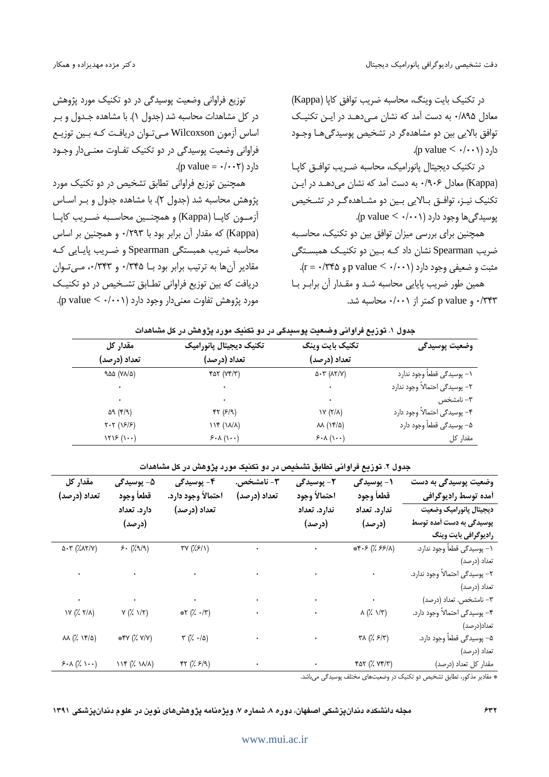در تكنيك بايت وينگ، محاسبه ضريب توافق كايا (Kappa) معادل ۸۹۵/۰ به دست آمد که نشان مبی دهـد در ایـن تکنیـک توافق بالایی بین دو مشاهدهگر در تشخیص پوسیدگی هـا وجـود .(p value <  $\cdot$ / $\cdot$  \eq. (p value <  $\cdot$ / $\cdot$ 

در تكنيك ديجيتال يانوراميك، محاسبه ضـريب توافــق كايـا (Kappa) معادل ۰/۹۰۶ به دست آمد که نشان می دهـد در ایـن تکنیک نیـز، توافـق بـالایی بـین دو مشـاهدهگـر در تشـخیص یوسیدگی ها وجود دارد (p value <  $\cdot$ /۰۰۱).

همچنین برای بررسی میزان توافق بین دو تکنیک، محاسبه ضریب Spearman نشان داد کـه بـین دو تکنیـک همبسـتگی مثبت و ضعیفی وجود دارد (p value < ۰/۰۰۱ ـ p value همین طور ضریب پایایی محاسبه شد و مقدار آن برابر با p value و p value کمتر از ۰/۰۰۱+ محاسبه شد.

توزیع فراوانی وضعیت یوسیدگی در دو تکنیک مورد پژوهش در کل مشاهدات محاسبه شد (جدول ۱). با مشاهده جـدول و بـر اساس آزمون Wilcoxson میتوان دریافت که بین توزیع فراوانی وضعیت پوسیدگی در دو تکنیک تفـاوت معنـیدار وجـود .(p value =  $\cdot$ / $\cdot$   $\cdot$   $\cdot$  )  $\cdot$  ).

همچنین توزیع فراوانی تطابق تشخیص در دو تکنیک مورد پژوهش محاسبه شد (جدول ۲). با مشاهده جدول و بـر اسـاس آزمون كاپا (Kappa) و همچنين محاسـبه ضـريب كاپـا (Kappa) که مقدار آن برابر بود با ۰/۲۹۳ و همچنین بر اساس محاسبه ضریب همبستگی Spearman و ضـریب پایـایی کـه مقادیر آنها به ترتیب برابر بود با ۰/٣۴۵ و ٠/٣۴٣، میتوان دریافت که بین توزیع فراوانی تطابق تشخیص در دو تکنیک مورد پژوهش تفاوت معنی دار وجود دارد (p value <  $\cdot$ /۰۰۱).

| جدول ۱. توزیع فراوانی وضعیت پوسیدگی در دو تکنیک مورد پژوهش در کل مشاهدات |  |  |  |  |  |
|--------------------------------------------------------------------------|--|--|--|--|--|
|--------------------------------------------------------------------------|--|--|--|--|--|

| مقدار کل                                                           | تكنيك ديجيتال يانوراميك | تكنيك بايت وينگ             | وضعيت پوسيدگي                  |  |
|--------------------------------------------------------------------|-------------------------|-----------------------------|--------------------------------|--|
| تعداد (درصد)                                                       | تعداد (درصد)            | تعداد (درصد)                |                                |  |
| 9.00 (VA/0)                                                        | $f\Delta Y$ ( $Yf/Y$ )  | $\Delta$ -۳ ( $\Delta$ ۲/۷) | ۱– پوسیدگی قطعاً وجود ندارد    |  |
|                                                                    | ٠                       |                             | ٢– پوسيدگي احتمالاً وجود ندارد |  |
|                                                                    |                         |                             | ٣– نامشخص                      |  |
| 59 (F/9)                                                           | FT(5/9)                 | $Y(X/\lambda)$              | ۴– پوسیدگی احتمالاً وجود دارد  |  |
| $Y - Y (19/9)$                                                     | 114 (11/1)              | $M(Nf/\Delta)$              | ۵– پوسیدگی قطعاً وجود دارد     |  |
| $\left( \mathcal{V}\right)$ $\mathcal{V}\left( \mathcal{V}\right)$ | $5.1$ $(1 \cdot \cdot)$ | $5.1$ $(1 \cdot \cdot)$     | مقدار کل                       |  |

### جدول ۲. توزیع فراوانی تطابق تشخیص در دو تکنیک مورد پژوهش در کل مشاهدات

| مقدار کل<br>تعداد (درصد)        | ۵− يوسيدگ <i>ي</i><br>قطعأ وجود                                     | ۴- يوسيدگ <i>ي</i><br>احتمالاً وجود دارد.                                                                                                                                                                                         | ۰۳ نامشخص.<br>تعداد (درصد)                              | ۲- يوسيدگ <i>ي</i><br>احتمالأ وجود                                                                                                                                                                                                 | ۱ – يوسيدگ <i>ي</i><br>قطعأ وجود                              | وضعیت پوسیدگی به دست<br>أمده توسط راديوگرافي |
|---------------------------------|---------------------------------------------------------------------|-----------------------------------------------------------------------------------------------------------------------------------------------------------------------------------------------------------------------------------|---------------------------------------------------------|------------------------------------------------------------------------------------------------------------------------------------------------------------------------------------------------------------------------------------|---------------------------------------------------------------|----------------------------------------------|
|                                 | دارد. تعداد                                                         | تعداد (درصد)                                                                                                                                                                                                                      |                                                         | ندارد. تعداد                                                                                                                                                                                                                       | ندارد. تعداد                                                  | ديجيتال پانوراميک وضعيت                      |
|                                 | (درصد)                                                              |                                                                                                                                                                                                                                   |                                                         | (درصد)                                                                                                                                                                                                                             | (درصد)                                                        | پوسیدگی به دست آمده توسط                     |
|                                 |                                                                     |                                                                                                                                                                                                                                   |                                                         |                                                                                                                                                                                                                                    |                                                               | رادیوگرافی بایت وینگ                         |
| $\Delta$ -۳ ( $\lambda$ ۸۲/۷)   | $5.$ ( $29/9$ )                                                     |                                                                                                                                                                                                                                   | $\Gamma V \left( \frac{\dot{r}}{\dot{r}}  S  \right)$ . |                                                                                                                                                                                                                                    | $*F.5(X.55 A)$                                                | ۱– پوسیدگی قطعاً وجود ندارد.                 |
|                                 |                                                                     |                                                                                                                                                                                                                                   |                                                         |                                                                                                                                                                                                                                    |                                                               | تعداد (درصد)                                 |
|                                 |                                                                     | $\sigma$ , and the set of the set of the set of the set of the set of the set of the set of the set of the set of the set of the set of the set of the set of the set of the set of the set of the set of the set of the set of t |                                                         |                                                                                                                                                                                                                                    |                                                               | ٢– پوسيدگي احتمالاً وجود ندارد.              |
|                                 |                                                                     |                                                                                                                                                                                                                                   |                                                         |                                                                                                                                                                                                                                    |                                                               | تعداد (درصد)                                 |
|                                 |                                                                     | $\sigma$ , and the second constraints are the second constraint of the second constraints of $\sigma$                                                                                                                             |                                                         |                                                                                                                                                                                                                                    |                                                               | ٣- نامشخص. تعداد (درصد)                      |
|                                 | $Y(X,Y X)$ $Y(X,Y Y)$                                               | $*Y(X \cdot  Y)$                                                                                                                                                                                                                  |                                                         | $\lambda(\frac{1}{2} \lambda/\overline{r})$                                                                                                                                                                                        |                                                               | ۴- پوسیدگی احتمالاً وجود دارد.               |
|                                 |                                                                     |                                                                                                                                                                                                                                   |                                                         |                                                                                                                                                                                                                                    |                                                               | تعداد(درصد)                                  |
| $\lambda\lambda$ (% $\lambda$ ) | $*Y (X Y)$                                                          | $\forall$ $(\n2 \cdot \n2)$                                                                                                                                                                                                       |                                                         | $\mathcal{L}(\mathcal{L}, \mathcal{L}/\mathcal{T})$                                                                                                                                                                                |                                                               | ۵- پوسیدگی قطعاً وجود دارد.                  |
|                                 |                                                                     |                                                                                                                                                                                                                                   |                                                         |                                                                                                                                                                                                                                    |                                                               | تعداد (درصد)                                 |
| $5.1$ (% ))                     | $\mathcal{W} \left( \mathcal{W} \right) \left( \mathcal{W} \right)$ | $\mathfrak{kr}\ (\mathcal{V}\ \mathcal{F}/\mathfrak{q})$                                                                                                                                                                          |                                                         | $\bullet$ . The contract of the contract of the contract of the contract of the contract of the contract of the contract of the contract of the contract of the contract of the contract of the contract of the contract of the co | $\mathfrak{r}$ at $(\rlap{.}'$ v $\mathfrak{r}/\mathfrak{r})$ | مقدار كل تعداد (درصد)                        |

.<br>\* مقادیر مذکور، تطابق تشخیص دو تکنیک در وضعیتهای مختلف پوسیدگی می باشد.

مجله دانشکده دندانپزشکی اصفهان، دوره ۸، شماره ۷، ویژهنامه پژوهشهای نوین در علوم دندانپزشکی ۱۳۹۱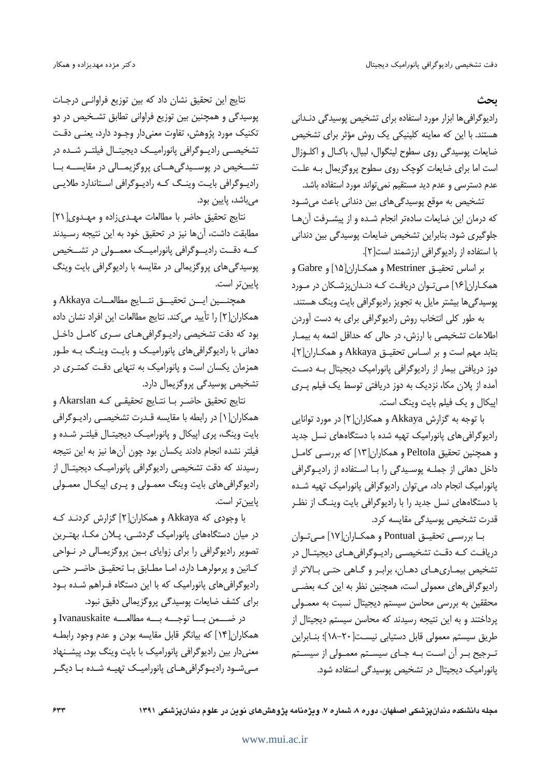ىحث

رادیوگرافی ها ابزار مورد استفاده برای تشخیص پوسیدگی دنـدانی هستند. با این که معاینه کلینیکی یک روش مؤثر برای تشخیص ضايعات يوسيدگي روي سطوح لينگوال، لبيال، باكـال و اكلـوزال است اما برای ضایعات کوچک روی سطوح پروگزیمال بـه علـت عدم دسترسی و عدم دید مستقیم نمی تواند مورد استفاده باشد.

تشخیص به موقع پوسیدگیهای بین دندانی باعث میشـود كه درمان اين ضايعات سادهتر انجام شـده و از پيشـرفت آنهـا جلوگیری شود. بنابراین تشخیص ضایعات پوسیدگی بین دندانی با استفاده از رادیوگرافی ارزشمند است[۲].

بر اساس تحقيـق Mestriner و همكـاران[۱۵] و Gabre و همکـاران[۱۶] مـی تـوان دریافـت کـه دنـدان پزشـکان در مـورد پوسیدگی ها بیشتر مایل به تجویز رادیوگرافی بایت وینگ هستند.

به طور کلی انتخاب روش رادیوگرافی برای به دست آوردن اطلاعات تشخیصی با ارزش، در حالی که حداقل اشعه به بیمـار بتابد مهم است و بر اسـاس تحقيــق Akkaya و همكــاران[٢]، دوز دریافتی بیمار از رادیوگرافی پانورامیک دیجیتال بـه دسـت آمده از پلان مکا، نزدیک به دوز دریافتی توسط یک فیلم پـری اپیکال و یک فیلم بایت وینگ است.

با توجه به گزارش Akkaya و همکاران[۲] در مورد توانایی رادیوگرافی های پانورامیک تهیه شده با دستگاههای نسل جدید و همچنین تحقیق Peltola و همکاران[۱۳] که بررسـی کامـل داخل دهانی از جملـه پوسـیدگی را بـا اسـتفاده از رادیـوگرافی پانورامیک انجام داد، می توان رادیوگرافی پانورامیک تهیه شده با دستگاههای نسل جدید را با رادیوگرافی بایت وینگ از نظـر قدرت تشخیص پوسیدگی مقایسه کرد.

بـا بررسـي تحقيـق Pontual و همكـاران[١٧] مـيتـوان دریافت کـه دقـت تشخیصـی رادیـوگرافی هـای دیجیتـال در تشخیص بیمـاریِهـای دهـان، برابـر و گـاهی حتـی بـالاتر از رادیوگرافی های معمولی است، همچنین نظر به این کـه بعضـی محققین به بررسی محاسن سیستم دیجیتال نسبت به معمـولی پرداختند و به این نتیجه رسیدند که محاسن سیستم دیجیتال از طريق سيستم معمولي قابل دستيابي نيست[٢٠-١٨]؛ بنـابراين تـرجيح بـر آن اسـت بـه جـاى سيسـتم معمـولى از سيسـتم یانورامیک دیجیتال در تشخیص پوسیدگی استفاده شود.

نتایج این تحقیق نشان داد که بین توزیع فراوانـی درجـات پوسیدگی و همچنین بین توزیع فراوانی تطابق تشـخیص در دو تكنيك مورد پژوهش، تفاوت معنىدار وجـود دارد، يعنـى دقـت تشخیصـی رادیـوگرافی پانورامیـک دیجیتـال فیلتـر شـده در تشــخیص در پوســیدگی هــای پروگزیمــالی در مقایســه بــا رادیوگرافی بایت وینگ که رادیوگرافی استاندارد طلایی مے باشد، پایین بود.

نتايج تحقيق حاضر با مطالعات مهدى زاده و مهدوى[٢١] مطابقت داشت، آنها نیز در تحقیق خود به این نتیجه رسـیدند کــه دقــت راديـــوگرافي پانوراميـــک معمـــولي در تشـــخيص یوسیدگی های پروگزیمالی در مقایسه با رادیوگرافی بایت وینگ پایینتر است.

همجنـــين ايـــن تحقيـــق نتـــايج مطالعـــات Akkaya و همكاران[٢] را تأييد مي كند. نتايج مطالعات اين افراد نشان داده بود که دقت تشخیصی رادیوگرافی های سری کامل داخل دهانی با رادیوگرافیهای پانورامیک و بایت وینگ بـه طـور همزمان یکسان است و پانورامیک به تنهایی دقت کمتـری در تشخیص پوسیدگی پروگزیمال دارد.

نتايج تحقيق حاضـر بـا نتــايج تحقيقـي كــه Akarslan و همکاران[۱] در رابطه با مقایسه قـدرت تشخیصـی رادیـوگرافی بایت وینگ، پری اپیکال و پانورامیک دیجیتـال فیلتـر شـده و فيلتر نشده انجام دادند يكسان بود چون آنها نيز به اين نتيجه رسیدند که دقت تشخیصی رادیوگرافی پانورامیک دیجیتال از رادیوگرافی های بایت وینگ معمـولی و پـری اپیکـال معمـولی يايين تر است.

با وجودی که Akkaya و همکاران[۲] گزارش کردنـد کـه در میان دستگاههای پانورامیک گردشـی، پـلان مکـا، بهتـرین تصویر رادیوگرافی را برای زوایای بین پروگزیمـالی در نـواحی كـانين و پرمولرهـا دارد، امـا مطـابق بـا تحقيــق حاضـر حتــى رادیوگرافی های پانورامیک که با این دستگاه فـراهم شـده بـود برای کشف ضایعات پوسیدگی پروگزیمالی دقیق نبود.

در ضــــمن بــــا توجــــه بــــه مطالعــــه Ivanauskaite و همكاران[۱۴] كه بيانگر قابل مقايسه بودن و عدم وجود رابطه معنی دار بین رادیوگرافی پانورامیک با بایت وینگ بود، پیشـنهاد مهنشود راديوگرافى هاى پانوراميك تهيـه شـده بـا ديگـر

مجله دانشکده دندان پزشکی اصفهان، دوره ۸، شماره ۷، ویژهنامه پژوهشهای نوین در علوم دندان پزشکی ۱۳۹۱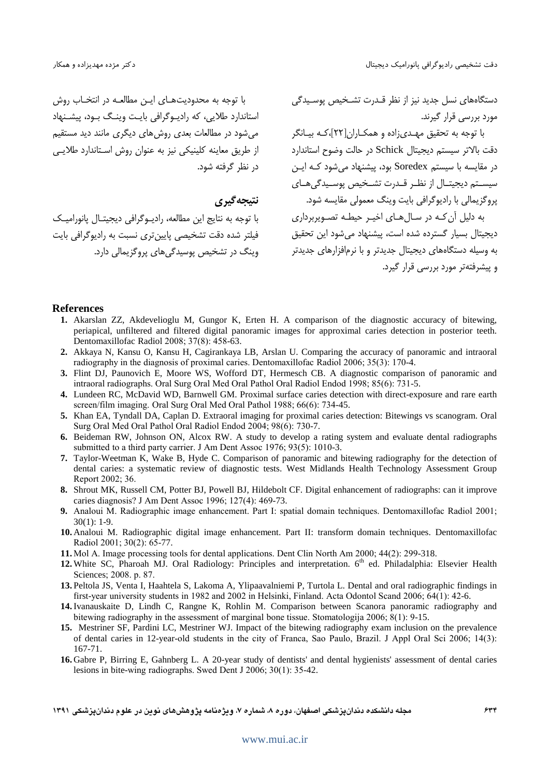با توجه به محدودیتهای این مطالعیه در انتخیاب روش استاندارد طلایی، که رادیـوگرافی بایـت وینـگ بـود، پیشـنهاد می شود در مطالعات بعدی روش های دیگری مانند دید مستقیم از طریق معاینه کلینیکی نیز به عنوان روش استاندارد طلایبی در نظر گرفته شود.

نتبجه گیری

با توجه به نتایج این مطالعه، رادیـوگرافی دیجیتـال پانورامیـک فيلتر شده دقت تشخيصي پايين تري نسبت به راديوگرافي بايت وینگ در تشخیص پوسیدگیهای پروگزیمالی دارد. دستگاههای نسل جدید نیز از نظر قـدرت تشـخیص پوسـیدگی مورد بررسی قرار گیرند.

با توجه به تحقیق مهـدیزاده و همکـاران[۲۲]،کـه بیـانگر دقت بالاتر سیستم دیجیتال Schick در حالت وضوح استاندارد در مقایسه با سیستم Soredex بود، پیشنهاد می شود کـه ایـن سیستم دیجیتـال از نظـر قـدرت تشـخیص پوسـیدگی هـای یروگزیمالی با رادیوگرافی بایت وینگ معمولی مقایسه شود. به دلیل آن کـه در سـال هـای اخیـر حیطـه تصـویربرداری

دیجیتال بسیار گسترده شده است، پیشنهاد میشود این تحقیق به وسیله دستگاههای دیجیتال جدیدتر و با نرمافزارهای جدیدتر و پیشرفتهتر مورد بررسی قرار گیرد.

#### **References**

- 1. Akarslan ZZ, Akdevelioglu M, Gungor K, Erten H. A comparison of the diagnostic accuracy of bitewing, periapical, unfiltered and filtered digital panoramic images for approximal caries detection in posterior teeth. Dentomaxillofac Radiol 2008; 37(8): 458-63.
- 2. Akkaya N, Kansu O, Kansu H, Cagirankaya LB, Arslan U. Comparing the accuracy of panoramic and intraoral radiography in the diagnosis of proximal caries. Dentomaxillofac Radiol 2006: 35(3): 170-4.
- 3. Flint DJ, Paunovich E, Moore WS, Wofford DT, Hermesch CB. A diagnostic comparison of panoramic and intraoral radiographs. Oral Surg Oral Med Oral Pathol Oral Radiol Endod 1998; 85(6): 731-5.
- 4. Lundeen RC, McDavid WD, Barnwell GM. Proximal surface caries detection with direct-exposure and rare earth screen/film imaging. Oral Surg Oral Med Oral Pathol 1988; 66(6): 734-45.
- 5. Khan EA, Tyndall DA, Caplan D. Extraoral imaging for proximal caries detection: Bitewings vs scanogram. Oral Surg Oral Med Oral Pathol Oral Radiol Endod 2004; 98(6): 730-7.
- 6. Beideman RW, Johnson ON, Alcox RW. A study to develop a rating system and evaluate dental radiographs submitted to a third party carrier. J Am Dent Assoc 1976; 93(5): 1010-3.
- 7. Taylor-Weetman K, Wake B, Hyde C. Comparison of panoramic and bitewing radiography for the detection of dental caries: a systematic review of diagnostic tests. West Midlands Health Technology Assessment Group Report 2002; 36.
- 8. Shrout MK, Russell CM, Potter BJ, Powell BJ, Hildebolt CF. Digital enhancement of radiographs: can it improve caries diagnosis? J Am Dent Assoc 1996; 127(4): 469-73.
- 9. Analoui M. Radiographic image enhancement. Part I: spatial domain techniques. Dentomaxillofac Radiol 2001;  $30(1): 1-9.$
- 10. Analoui M. Radiographic digital image enhancement. Part II: transform domain techniques. Dentomaxillofac Radiol 2001; 30(2): 65-77.
- 11. Mol A. Image processing tools for dental applications. Dent Clin North Am 2000; 44(2): 299-318.
- 12. White SC, Pharoah MJ. Oral Radiology: Principles and interpretation. 6<sup>th</sup> ed. Philadalphia: Elsevier Health Sciences; 2008. p. 87.
- 13. Peltola JS, Venta I, Haahtela S, Lakoma A, Ylipaavalniemi P, Turtola L. Dental and oral radiographic findings in first-year university students in 1982 and 2002 in Helsinki, Finland. Acta Odontol Scand 2006; 64(1): 42-6.
- 14. Ivanauskaite D, Lindh C, Rangne K, Rohlin M. Comparison between Scanora panoramic radiography and bitewing radiography in the assessment of marginal bone tissue. Stomatologija  $2006; 8(1)$ : 9-15.
- 15. Mestriner SF, Pardini LC, Mestriner WJ. Impact of the bitewing radiography exam inclusion on the prevalence of dental caries in 12-year-old students in the city of Franca, Sao Paulo, Brazil. J Appl Oral Sci 2006; 14(3):  $167 - 71.$
- 16. Gabre P, Birring E, Gahnberg L. A 20-year study of dentists' and dental hygienists' assessment of dental caries lesions in bite-wing radiographs. Swed Dent J 2006; 30(1): 35-42.
- مجله دانشکده دندانیزشکی اصفهان، دوره ۸، شماره ۷، ویژهنامه یژوهشهای نوین در علوم دندانیزشکی ۱۳۹۱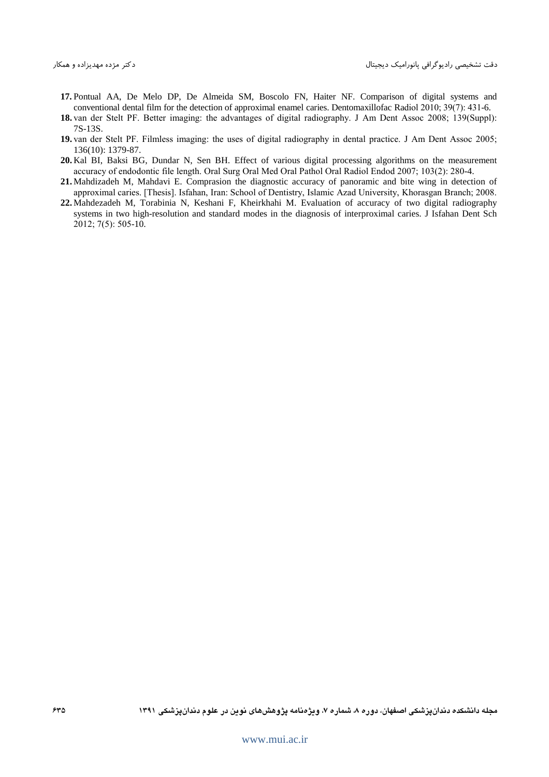- 17. Pontual AA, De Melo DP, De Almeida SM, Boscolo FN, Haiter NF. Comparison of digital systems and conventional dental film for the detection of approximal enamel caries. Dentomaxillofac Radiol 2010;  $39(7)$ :  $431-6$ .
- 18. van der Stelt PF. Better imaging: the advantages of digital radiography. J Am Dent Assoc 2008; 139(Suppl): 7S-13S.
- 19. van der Stelt PF. Filmless imaging: the uses of digital radiography in dental practice. J Am Dent Assoc 2005; 136(10): 1379-87.
- 20. Kal BI, Baksi BG, Dundar N, Sen BH, Effect of various digital processing algorithms on the measurement accuracy of endodontic file length. Oral Surg Oral Med Oral Pathol Oral Radiol Endod 2007; 103(2): 280-4.
- 21. Mahdizadeh M, Mahdavi E. Comprasion the diagnostic accuracy of panoramic and bite wing in detection of approximal caries. [Thesis]. Isfahan, Iran: School of Dentistry, Islamic Azad University, Khorasgan Branch; 2008.
- 22. Mahdezadeh M, Torabinia N, Keshani F, Kheirkhahi M. Evaluation of accuracy of two digital radiography systems in two high-resolution and standard modes in the diagnosis of interproximal caries. J Isfahan Dent Sch  $2012$ ; 7(5): 505-10.